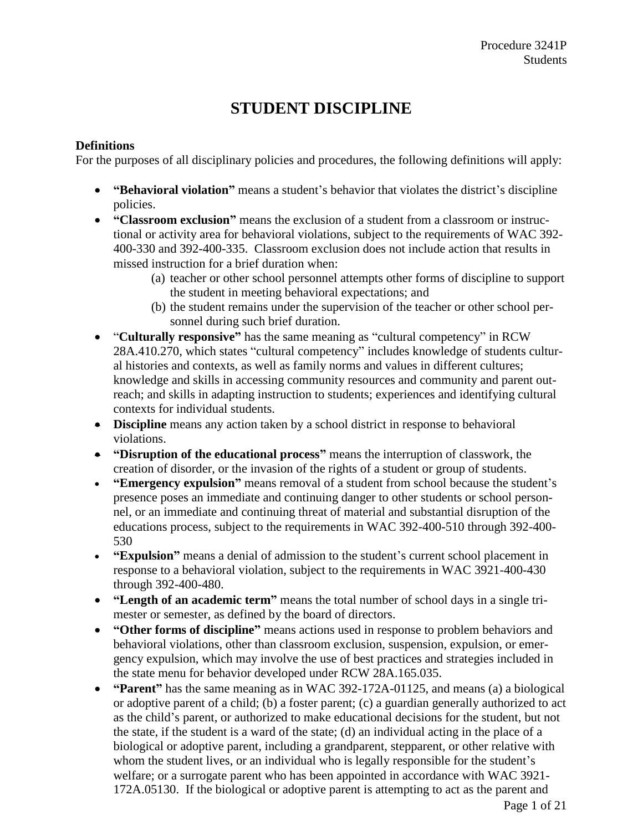# **STUDENT DISCIPLINE**

# **Definitions**

For the purposes of all disciplinary policies and procedures, the following definitions will apply:

- **"Behavioral violation"** means a student's behavior that violates the district's discipline policies.
- **"Classroom exclusion"** means the exclusion of a student from a classroom or instructional or activity area for behavioral violations, subject to the requirements of WAC 392- 400-330 and 392-400-335. Classroom exclusion does not include action that results in missed instruction for a brief duration when:
	- (a) teacher or other school personnel attempts other forms of discipline to support the student in meeting behavioral expectations; and
	- (b) the student remains under the supervision of the teacher or other school personnel during such brief duration.
- "**Culturally responsive"** has the same meaning as "cultural competency" in RCW 28A.410.270, which states "cultural competency" includes knowledge of students cultural histories and contexts, as well as family norms and values in different cultures; knowledge and skills in accessing community resources and community and parent outreach; and skills in adapting instruction to students; experiences and identifying cultural contexts for individual students.
- **Discipline** means any action taken by a school district in response to behavioral violations.
- **"Disruption of the educational process"** means the interruption of classwork, the creation of disorder, or the invasion of the rights of a student or group of students.
- **"Emergency expulsion"** means removal of a student from school because the student's presence poses an immediate and continuing danger to other students or school personnel, or an immediate and continuing threat of material and substantial disruption of the educations process, subject to the requirements in WAC 392-400-510 through 392-400- 530
- **"Expulsion"** means a denial of admission to the student's current school placement in response to a behavioral violation, subject to the requirements in WAC 3921-400-430 through 392-400-480.
- **"Length of an academic term"** means the total number of school days in a single trimester or semester, as defined by the board of directors.
- **"Other forms of discipline"** means actions used in response to problem behaviors and behavioral violations, other than classroom exclusion, suspension, expulsion, or emergency expulsion, which may involve the use of best practices and strategies included in the state menu for behavior developed under RCW 28A.165.035.
- **"Parent"** has the same meaning as in WAC 392-172A-01125, and means (a) a biological or adoptive parent of a child; (b) a foster parent; (c) a guardian generally authorized to act as the child's parent, or authorized to make educational decisions for the student, but not the state, if the student is a ward of the state; (d) an individual acting in the place of a biological or adoptive parent, including a grandparent, stepparent, or other relative with whom the student lives, or an individual who is legally responsible for the student's welfare; or a surrogate parent who has been appointed in accordance with WAC 3921- 172A.05130. If the biological or adoptive parent is attempting to act as the parent and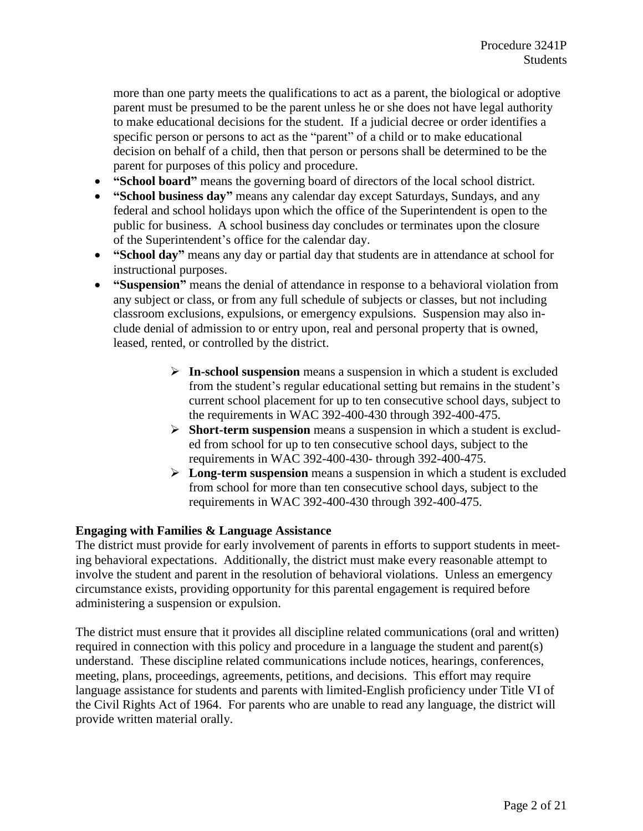more than one party meets the qualifications to act as a parent, the biological or adoptive parent must be presumed to be the parent unless he or she does not have legal authority to make educational decisions for the student. If a judicial decree or order identifies a specific person or persons to act as the "parent" of a child or to make educational decision on behalf of a child, then that person or persons shall be determined to be the parent for purposes of this policy and procedure.

- **"School board"** means the governing board of directors of the local school district.
- **"School business day"** means any calendar day except Saturdays, Sundays, and any federal and school holidays upon which the office of the Superintendent is open to the public for business. A school business day concludes or terminates upon the closure of the Superintendent's office for the calendar day.
- **"School day"** means any day or partial day that students are in attendance at school for instructional purposes.
- **"Suspension"** means the denial of attendance in response to a behavioral violation from any subject or class, or from any full schedule of subjects or classes, but not including classroom exclusions, expulsions, or emergency expulsions. Suspension may also include denial of admission to or entry upon, real and personal property that is owned, leased, rented, or controlled by the district.
	- ➢ **In-school suspension** means a suspension in which a student is excluded from the student's regular educational setting but remains in the student's current school placement for up to ten consecutive school days, subject to the requirements in WAC 392-400-430 through 392-400-475.
	- ➢ **Short-term suspension** means a suspension in which a student is excluded from school for up to ten consecutive school days, subject to the requirements in WAC 392-400-430- through 392-400-475.
	- ➢ **Long-term suspension** means a suspension in which a student is excluded from school for more than ten consecutive school days, subject to the requirements in WAC 392-400-430 through 392-400-475.

### **Engaging with Families & Language Assistance**

The district must provide for early involvement of parents in efforts to support students in meeting behavioral expectations. Additionally, the district must make every reasonable attempt to involve the student and parent in the resolution of behavioral violations. Unless an emergency circumstance exists, providing opportunity for this parental engagement is required before administering a suspension or expulsion.

The district must ensure that it provides all discipline related communications (oral and written) required in connection with this policy and procedure in a language the student and parent(s) understand. These discipline related communications include notices, hearings, conferences, meeting, plans, proceedings, agreements, petitions, and decisions. This effort may require language assistance for students and parents with limited-English proficiency under Title VI of the Civil Rights Act of 1964. For parents who are unable to read any language, the district will provide written material orally.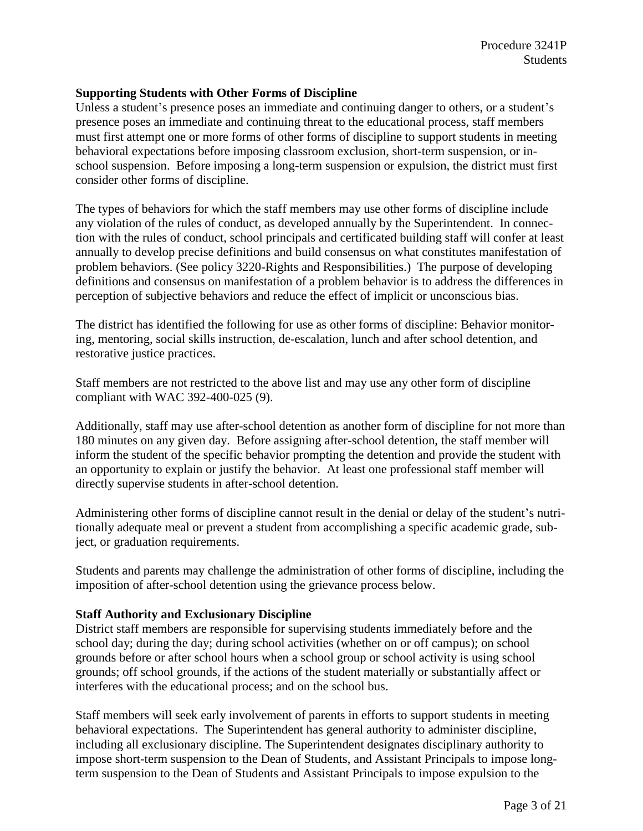### **Supporting Students with Other Forms of Discipline**

Unless a student's presence poses an immediate and continuing danger to others, or a student's presence poses an immediate and continuing threat to the educational process, staff members must first attempt one or more forms of other forms of discipline to support students in meeting behavioral expectations before imposing classroom exclusion, short-term suspension, or inschool suspension. Before imposing a long-term suspension or expulsion, the district must first consider other forms of discipline.

The types of behaviors for which the staff members may use other forms of discipline include any violation of the rules of conduct, as developed annually by the Superintendent. In connection with the rules of conduct, school principals and certificated building staff will confer at least annually to develop precise definitions and build consensus on what constitutes manifestation of problem behaviors. (See policy 3220-Rights and Responsibilities.) The purpose of developing definitions and consensus on manifestation of a problem behavior is to address the differences in perception of subjective behaviors and reduce the effect of implicit or unconscious bias.

The district has identified the following for use as other forms of discipline: Behavior monitoring, mentoring, social skills instruction, de-escalation, lunch and after school detention, and restorative justice practices.

Staff members are not restricted to the above list and may use any other form of discipline compliant with WAC 392-400-025 (9).

Additionally, staff may use after-school detention as another form of discipline for not more than 180 minutes on any given day. Before assigning after-school detention, the staff member will inform the student of the specific behavior prompting the detention and provide the student with an opportunity to explain or justify the behavior. At least one professional staff member will directly supervise students in after-school detention.

Administering other forms of discipline cannot result in the denial or delay of the student's nutritionally adequate meal or prevent a student from accomplishing a specific academic grade, subject, or graduation requirements.

Students and parents may challenge the administration of other forms of discipline, including the imposition of after-school detention using the grievance process below.

### **Staff Authority and Exclusionary Discipline**

District staff members are responsible for supervising students immediately before and the school day; during the day; during school activities (whether on or off campus); on school grounds before or after school hours when a school group or school activity is using school grounds; off school grounds, if the actions of the student materially or substantially affect or interferes with the educational process; and on the school bus.

Staff members will seek early involvement of parents in efforts to support students in meeting behavioral expectations. The Superintendent has general authority to administer discipline, including all exclusionary discipline. The Superintendent designates disciplinary authority to impose short-term suspension to the Dean of Students, and Assistant Principals to impose longterm suspension to the Dean of Students and Assistant Principals to impose expulsion to the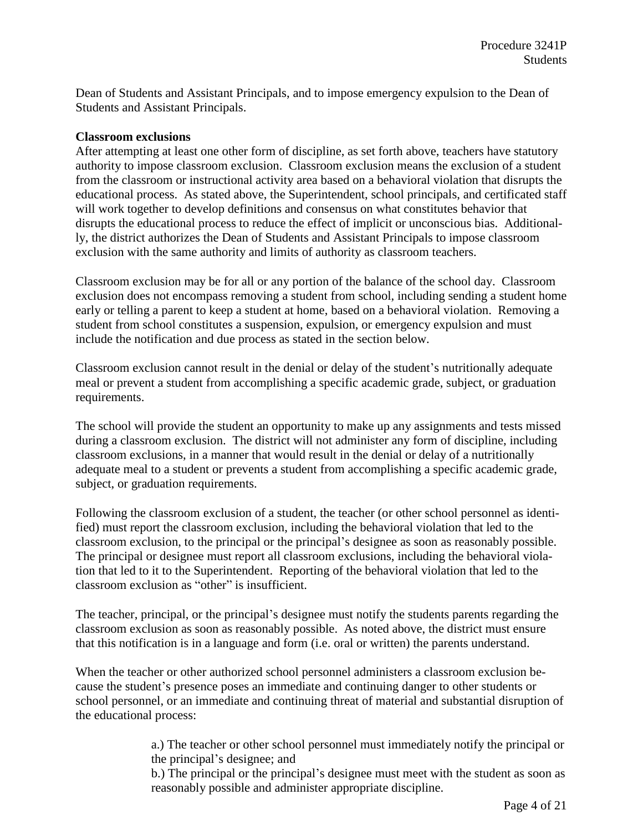Dean of Students and Assistant Principals, and to impose emergency expulsion to the Dean of Students and Assistant Principals.

### **Classroom exclusions**

After attempting at least one other form of discipline, as set forth above, teachers have statutory authority to impose classroom exclusion. Classroom exclusion means the exclusion of a student from the classroom or instructional activity area based on a behavioral violation that disrupts the educational process. As stated above, the Superintendent, school principals, and certificated staff will work together to develop definitions and consensus on what constitutes behavior that disrupts the educational process to reduce the effect of implicit or unconscious bias. Additionally, the district authorizes the Dean of Students and Assistant Principals to impose classroom exclusion with the same authority and limits of authority as classroom teachers.

Classroom exclusion may be for all or any portion of the balance of the school day. Classroom exclusion does not encompass removing a student from school, including sending a student home early or telling a parent to keep a student at home, based on a behavioral violation. Removing a student from school constitutes a suspension, expulsion, or emergency expulsion and must include the notification and due process as stated in the section below.

Classroom exclusion cannot result in the denial or delay of the student's nutritionally adequate meal or prevent a student from accomplishing a specific academic grade, subject, or graduation requirements.

The school will provide the student an opportunity to make up any assignments and tests missed during a classroom exclusion. The district will not administer any form of discipline, including classroom exclusions, in a manner that would result in the denial or delay of a nutritionally adequate meal to a student or prevents a student from accomplishing a specific academic grade, subject, or graduation requirements.

Following the classroom exclusion of a student, the teacher (or other school personnel as identified) must report the classroom exclusion, including the behavioral violation that led to the classroom exclusion, to the principal or the principal's designee as soon as reasonably possible. The principal or designee must report all classroom exclusions, including the behavioral violation that led to it to the Superintendent. Reporting of the behavioral violation that led to the classroom exclusion as "other" is insufficient.

The teacher, principal, or the principal's designee must notify the students parents regarding the classroom exclusion as soon as reasonably possible. As noted above, the district must ensure that this notification is in a language and form (i.e. oral or written) the parents understand.

When the teacher or other authorized school personnel administers a classroom exclusion because the student's presence poses an immediate and continuing danger to other students or school personnel, or an immediate and continuing threat of material and substantial disruption of the educational process:

> a.) The teacher or other school personnel must immediately notify the principal or the principal's designee; and

> b.) The principal or the principal's designee must meet with the student as soon as reasonably possible and administer appropriate discipline.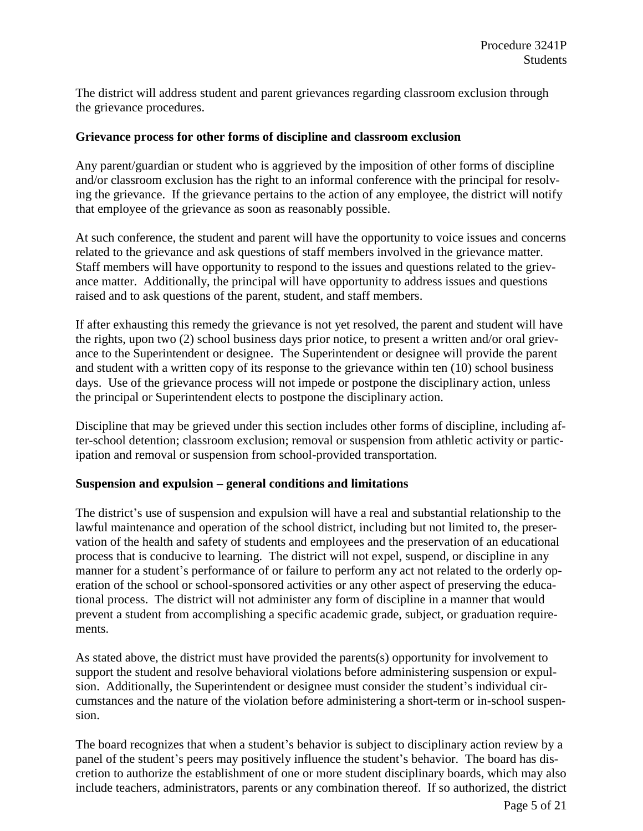The district will address student and parent grievances regarding classroom exclusion through the grievance procedures.

### **Grievance process for other forms of discipline and classroom exclusion**

Any parent/guardian or student who is aggrieved by the imposition of other forms of discipline and/or classroom exclusion has the right to an informal conference with the principal for resolving the grievance. If the grievance pertains to the action of any employee, the district will notify that employee of the grievance as soon as reasonably possible.

At such conference, the student and parent will have the opportunity to voice issues and concerns related to the grievance and ask questions of staff members involved in the grievance matter. Staff members will have opportunity to respond to the issues and questions related to the grievance matter. Additionally, the principal will have opportunity to address issues and questions raised and to ask questions of the parent, student, and staff members.

If after exhausting this remedy the grievance is not yet resolved, the parent and student will have the rights, upon two (2) school business days prior notice, to present a written and/or oral grievance to the Superintendent or designee. The Superintendent or designee will provide the parent and student with a written copy of its response to the grievance within ten (10) school business days. Use of the grievance process will not impede or postpone the disciplinary action, unless the principal or Superintendent elects to postpone the disciplinary action.

Discipline that may be grieved under this section includes other forms of discipline, including after-school detention; classroom exclusion; removal or suspension from athletic activity or participation and removal or suspension from school-provided transportation.

### **Suspension and expulsion – general conditions and limitations**

The district's use of suspension and expulsion will have a real and substantial relationship to the lawful maintenance and operation of the school district, including but not limited to, the preservation of the health and safety of students and employees and the preservation of an educational process that is conducive to learning. The district will not expel, suspend, or discipline in any manner for a student's performance of or failure to perform any act not related to the orderly operation of the school or school-sponsored activities or any other aspect of preserving the educational process. The district will not administer any form of discipline in a manner that would prevent a student from accomplishing a specific academic grade, subject, or graduation requirements.

As stated above, the district must have provided the parents(s) opportunity for involvement to support the student and resolve behavioral violations before administering suspension or expulsion. Additionally, the Superintendent or designee must consider the student's individual circumstances and the nature of the violation before administering a short-term or in-school suspension.

The board recognizes that when a student's behavior is subject to disciplinary action review by a panel of the student's peers may positively influence the student's behavior. The board has discretion to authorize the establishment of one or more student disciplinary boards, which may also include teachers, administrators, parents or any combination thereof. If so authorized, the district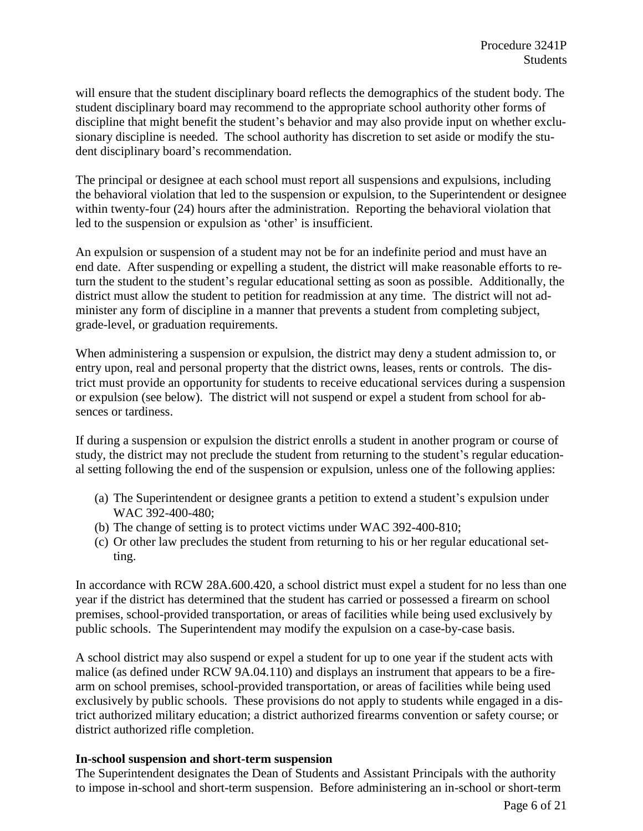will ensure that the student disciplinary board reflects the demographics of the student body. The student disciplinary board may recommend to the appropriate school authority other forms of discipline that might benefit the student's behavior and may also provide input on whether exclusionary discipline is needed. The school authority has discretion to set aside or modify the student disciplinary board's recommendation.

The principal or designee at each school must report all suspensions and expulsions, including the behavioral violation that led to the suspension or expulsion, to the Superintendent or designee within twenty-four (24) hours after the administration. Reporting the behavioral violation that led to the suspension or expulsion as 'other' is insufficient.

An expulsion or suspension of a student may not be for an indefinite period and must have an end date. After suspending or expelling a student, the district will make reasonable efforts to return the student to the student's regular educational setting as soon as possible. Additionally, the district must allow the student to petition for readmission at any time. The district will not administer any form of discipline in a manner that prevents a student from completing subject, grade-level, or graduation requirements.

When administering a suspension or expulsion, the district may deny a student admission to, or entry upon, real and personal property that the district owns, leases, rents or controls. The district must provide an opportunity for students to receive educational services during a suspension or expulsion (see below). The district will not suspend or expel a student from school for absences or tardiness.

If during a suspension or expulsion the district enrolls a student in another program or course of study, the district may not preclude the student from returning to the student's regular educational setting following the end of the suspension or expulsion, unless one of the following applies:

- (a) The Superintendent or designee grants a petition to extend a student's expulsion under WAC 392-400-480;
- (b) The change of setting is to protect victims under WAC 392-400-810;
- (c) Or other law precludes the student from returning to his or her regular educational setting.

In accordance with RCW 28A.600.420, a school district must expel a student for no less than one year if the district has determined that the student has carried or possessed a firearm on school premises, school-provided transportation, or areas of facilities while being used exclusively by public schools. The Superintendent may modify the expulsion on a case-by-case basis.

A school district may also suspend or expel a student for up to one year if the student acts with malice (as defined under RCW 9A.04.110) and displays an instrument that appears to be a firearm on school premises, school-provided transportation, or areas of facilities while being used exclusively by public schools. These provisions do not apply to students while engaged in a district authorized military education; a district authorized firearms convention or safety course; or district authorized rifle completion.

### **In-school suspension and short-term suspension**

The Superintendent designates the Dean of Students and Assistant Principals with the authority to impose in-school and short-term suspension. Before administering an in-school or short-term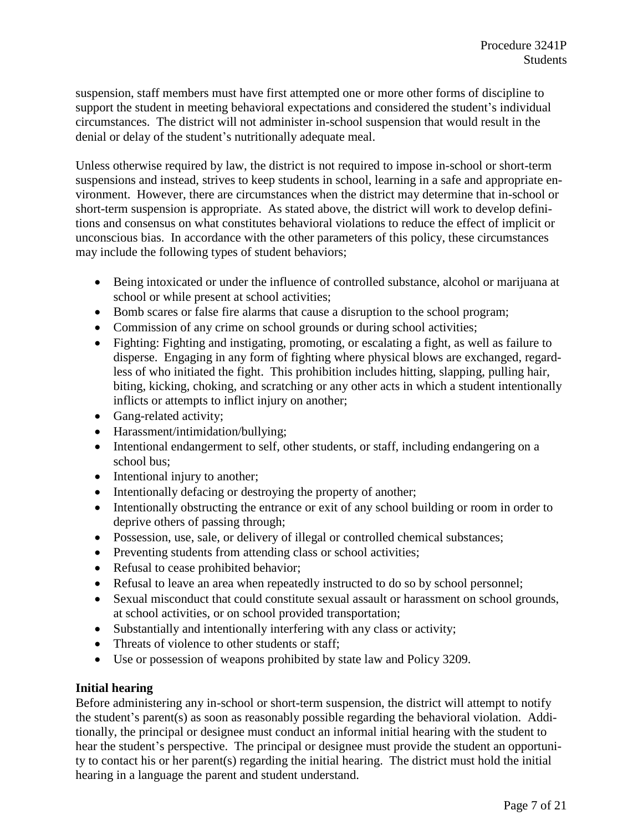suspension, staff members must have first attempted one or more other forms of discipline to support the student in meeting behavioral expectations and considered the student's individual circumstances. The district will not administer in-school suspension that would result in the denial or delay of the student's nutritionally adequate meal.

Unless otherwise required by law, the district is not required to impose in-school or short-term suspensions and instead, strives to keep students in school, learning in a safe and appropriate environment. However, there are circumstances when the district may determine that in-school or short-term suspension is appropriate. As stated above, the district will work to develop definitions and consensus on what constitutes behavioral violations to reduce the effect of implicit or unconscious bias. In accordance with the other parameters of this policy, these circumstances may include the following types of student behaviors;

- Being intoxicated or under the influence of controlled substance, alcohol or marijuana at school or while present at school activities;
- Bomb scares or false fire alarms that cause a disruption to the school program;
- Commission of any crime on school grounds or during school activities;
- Fighting: Fighting and instigating, promoting, or escalating a fight, as well as failure to disperse. Engaging in any form of fighting where physical blows are exchanged, regardless of who initiated the fight. This prohibition includes hitting, slapping, pulling hair, biting, kicking, choking, and scratching or any other acts in which a student intentionally inflicts or attempts to inflict injury on another;
- Gang-related activity;
- Harassment/intimidation/bullying;
- Intentional endangerment to self, other students, or staff, including endangering on a school bus;
- Intentional injury to another;
- Intentionally defacing or destroying the property of another;
- Intentionally obstructing the entrance or exit of any school building or room in order to deprive others of passing through;
- Possession, use, sale, or delivery of illegal or controlled chemical substances;
- Preventing students from attending class or school activities;
- Refusal to cease prohibited behavior;
- Refusal to leave an area when repeatedly instructed to do so by school personnel;
- Sexual misconduct that could constitute sexual assault or harassment on school grounds, at school activities, or on school provided transportation;
- Substantially and intentionally interfering with any class or activity;
- Threats of violence to other students or staff;
- Use or possession of weapons prohibited by state law and Policy 3209.

# **Initial hearing**

Before administering any in-school or short-term suspension, the district will attempt to notify the student's parent(s) as soon as reasonably possible regarding the behavioral violation. Additionally, the principal or designee must conduct an informal initial hearing with the student to hear the student's perspective. The principal or designee must provide the student an opportunity to contact his or her parent(s) regarding the initial hearing. The district must hold the initial hearing in a language the parent and student understand.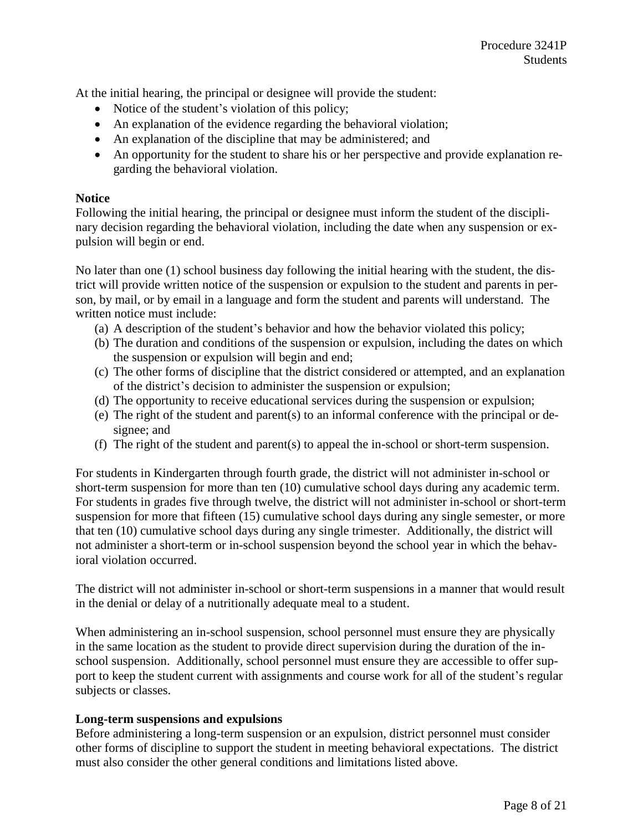At the initial hearing, the principal or designee will provide the student:

- Notice of the student's violation of this policy;
- An explanation of the evidence regarding the behavioral violation;
- An explanation of the discipline that may be administered; and
- An opportunity for the student to share his or her perspective and provide explanation regarding the behavioral violation.

### **Notice**

Following the initial hearing, the principal or designee must inform the student of the disciplinary decision regarding the behavioral violation, including the date when any suspension or expulsion will begin or end.

No later than one (1) school business day following the initial hearing with the student, the district will provide written notice of the suspension or expulsion to the student and parents in person, by mail, or by email in a language and form the student and parents will understand. The written notice must include:

- (a) A description of the student's behavior and how the behavior violated this policy;
- (b) The duration and conditions of the suspension or expulsion, including the dates on which the suspension or expulsion will begin and end;
- (c) The other forms of discipline that the district considered or attempted, and an explanation of the district's decision to administer the suspension or expulsion;
- (d) The opportunity to receive educational services during the suspension or expulsion;
- (e) The right of the student and parent(s) to an informal conference with the principal or designee; and
- (f) The right of the student and parent(s) to appeal the in-school or short-term suspension.

For students in Kindergarten through fourth grade, the district will not administer in-school or short-term suspension for more than ten (10) cumulative school days during any academic term. For students in grades five through twelve, the district will not administer in-school or short-term suspension for more that fifteen (15) cumulative school days during any single semester, or more that ten (10) cumulative school days during any single trimester. Additionally, the district will not administer a short-term or in-school suspension beyond the school year in which the behavioral violation occurred.

The district will not administer in-school or short-term suspensions in a manner that would result in the denial or delay of a nutritionally adequate meal to a student.

When administering an in-school suspension, school personnel must ensure they are physically in the same location as the student to provide direct supervision during the duration of the inschool suspension. Additionally, school personnel must ensure they are accessible to offer support to keep the student current with assignments and course work for all of the student's regular subjects or classes.

#### **Long-term suspensions and expulsions**

Before administering a long-term suspension or an expulsion, district personnel must consider other forms of discipline to support the student in meeting behavioral expectations. The district must also consider the other general conditions and limitations listed above.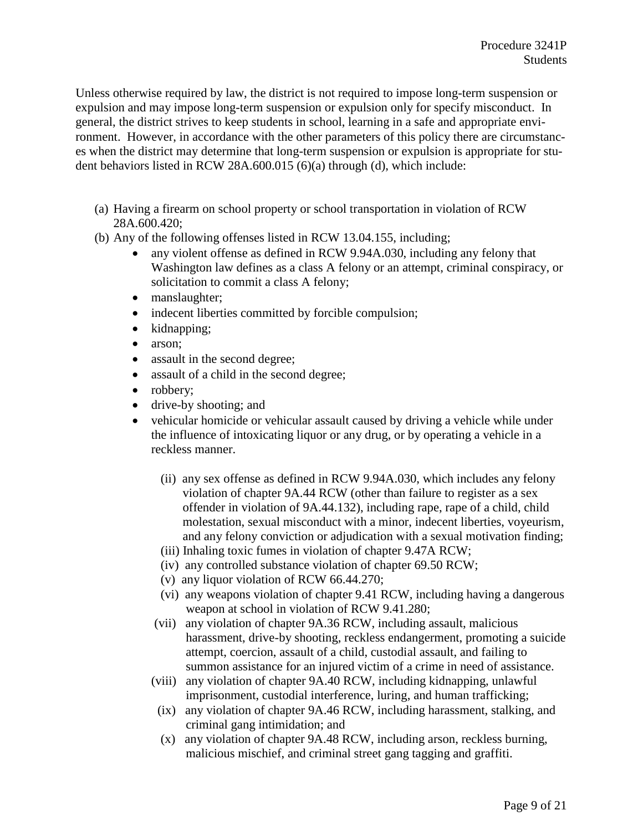Unless otherwise required by law, the district is not required to impose long-term suspension or expulsion and may impose long-term suspension or expulsion only for specify misconduct. In general, the district strives to keep students in school, learning in a safe and appropriate environment. However, in accordance with the other parameters of this policy there are circumstances when the district may determine that long-term suspension or expulsion is appropriate for student behaviors listed in RCW 28A.600.015 (6)(a) through (d), which include:

- (a) Having a firearm on school property or school transportation in violation of RCW 28A.600.420;
- (b) Any of the following offenses listed in RCW 13.04.155, including;
	- any violent offense as defined in RCW 9.94A.030, including any felony that Washington law defines as a class A felony or an attempt, criminal conspiracy, or solicitation to commit a class A felony;
	- manslaughter;
	- indecent liberties committed by forcible compulsion;
	- kidnapping;
	- arson:
	- assault in the second degree;
	- assault of a child in the second degree;
	- robbery;
	- drive-by shooting; and
	- vehicular homicide or vehicular assault caused by driving a vehicle while under the influence of intoxicating liquor or any drug, or by operating a vehicle in a reckless manner.
		- (ii) any sex offense as defined in RCW 9.94A.030, which includes any felony violation of chapter 9A.44 RCW (other than failure to register as a sex offender in violation of 9A.44.132), including rape, rape of a child, child molestation, sexual misconduct with a minor, indecent liberties, voyeurism, and any felony conviction or adjudication with a sexual motivation finding;
		- (iii) Inhaling toxic fumes in violation of chapter 9.47A RCW;
		- (iv) any controlled substance violation of chapter 69.50 RCW;
		- (v) any liquor violation of RCW 66.44.270;
		- (vi) any weapons violation of chapter 9.41 RCW, including having a dangerous weapon at school in violation of RCW 9.41.280;
		- (vii) any violation of chapter 9A.36 RCW, including assault, malicious harassment, drive-by shooting, reckless endangerment, promoting a suicide attempt, coercion, assault of a child, custodial assault, and failing to summon assistance for an injured victim of a crime in need of assistance.
		- (viii) any violation of chapter 9A.40 RCW, including kidnapping, unlawful imprisonment, custodial interference, luring, and human trafficking;
		- (ix) any violation of chapter 9A.46 RCW, including harassment, stalking, and criminal gang intimidation; and
		- (x) any violation of chapter 9A.48 RCW, including arson, reckless burning, malicious mischief, and criminal street gang tagging and graffiti.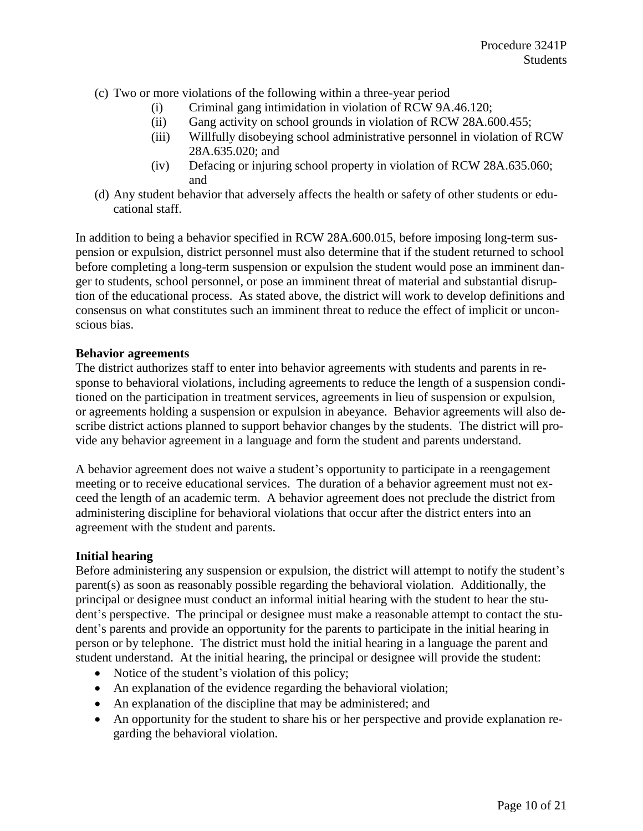- (c) Two or more violations of the following within a three-year period
	- (i) Criminal gang intimidation in violation of RCW 9A.46.120;
	- (ii) Gang activity on school grounds in violation of RCW 28A.600.455;
	- (iii) Willfully disobeying school administrative personnel in violation of RCW 28A.635.020; and
	- (iv) Defacing or injuring school property in violation of RCW 28A.635.060; and
- (d) Any student behavior that adversely affects the health or safety of other students or educational staff.

In addition to being a behavior specified in RCW 28A.600.015, before imposing long-term suspension or expulsion, district personnel must also determine that if the student returned to school before completing a long-term suspension or expulsion the student would pose an imminent danger to students, school personnel, or pose an imminent threat of material and substantial disruption of the educational process. As stated above, the district will work to develop definitions and consensus on what constitutes such an imminent threat to reduce the effect of implicit or unconscious bias.

### **Behavior agreements**

The district authorizes staff to enter into behavior agreements with students and parents in response to behavioral violations, including agreements to reduce the length of a suspension conditioned on the participation in treatment services, agreements in lieu of suspension or expulsion, or agreements holding a suspension or expulsion in abeyance. Behavior agreements will also describe district actions planned to support behavior changes by the students. The district will provide any behavior agreement in a language and form the student and parents understand.

A behavior agreement does not waive a student's opportunity to participate in a reengagement meeting or to receive educational services. The duration of a behavior agreement must not exceed the length of an academic term. A behavior agreement does not preclude the district from administering discipline for behavioral violations that occur after the district enters into an agreement with the student and parents.

#### **Initial hearing**

Before administering any suspension or expulsion, the district will attempt to notify the student's parent(s) as soon as reasonably possible regarding the behavioral violation. Additionally, the principal or designee must conduct an informal initial hearing with the student to hear the student's perspective. The principal or designee must make a reasonable attempt to contact the student's parents and provide an opportunity for the parents to participate in the initial hearing in person or by telephone. The district must hold the initial hearing in a language the parent and student understand. At the initial hearing, the principal or designee will provide the student:

- Notice of the student's violation of this policy;
- An explanation of the evidence regarding the behavioral violation;
- An explanation of the discipline that may be administered; and
- An opportunity for the student to share his or her perspective and provide explanation regarding the behavioral violation.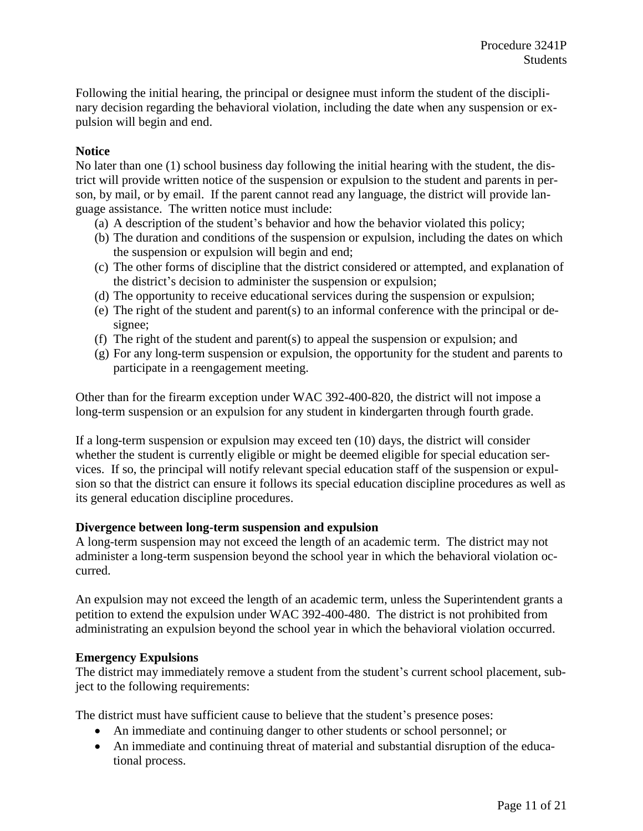Following the initial hearing, the principal or designee must inform the student of the disciplinary decision regarding the behavioral violation, including the date when any suspension or expulsion will begin and end.

# **Notice**

No later than one (1) school business day following the initial hearing with the student, the district will provide written notice of the suspension or expulsion to the student and parents in person, by mail, or by email. If the parent cannot read any language, the district will provide language assistance. The written notice must include:

- (a) A description of the student's behavior and how the behavior violated this policy;
- (b) The duration and conditions of the suspension or expulsion, including the dates on which the suspension or expulsion will begin and end;
- (c) The other forms of discipline that the district considered or attempted, and explanation of the district's decision to administer the suspension or expulsion;
- (d) The opportunity to receive educational services during the suspension or expulsion;
- (e) The right of the student and parent(s) to an informal conference with the principal or designee;
- (f) The right of the student and parent(s) to appeal the suspension or expulsion; and
- (g) For any long-term suspension or expulsion, the opportunity for the student and parents to participate in a reengagement meeting.

Other than for the firearm exception under WAC 392-400-820, the district will not impose a long-term suspension or an expulsion for any student in kindergarten through fourth grade.

If a long-term suspension or expulsion may exceed ten (10) days, the district will consider whether the student is currently eligible or might be deemed eligible for special education services. If so, the principal will notify relevant special education staff of the suspension or expulsion so that the district can ensure it follows its special education discipline procedures as well as its general education discipline procedures.

### **Divergence between long-term suspension and expulsion**

A long-term suspension may not exceed the length of an academic term. The district may not administer a long-term suspension beyond the school year in which the behavioral violation occurred.

An expulsion may not exceed the length of an academic term, unless the Superintendent grants a petition to extend the expulsion under WAC 392-400-480. The district is not prohibited from administrating an expulsion beyond the school year in which the behavioral violation occurred.

### **Emergency Expulsions**

The district may immediately remove a student from the student's current school placement, subject to the following requirements:

The district must have sufficient cause to believe that the student's presence poses:

- An immediate and continuing danger to other students or school personnel; or
- An immediate and continuing threat of material and substantial disruption of the educational process.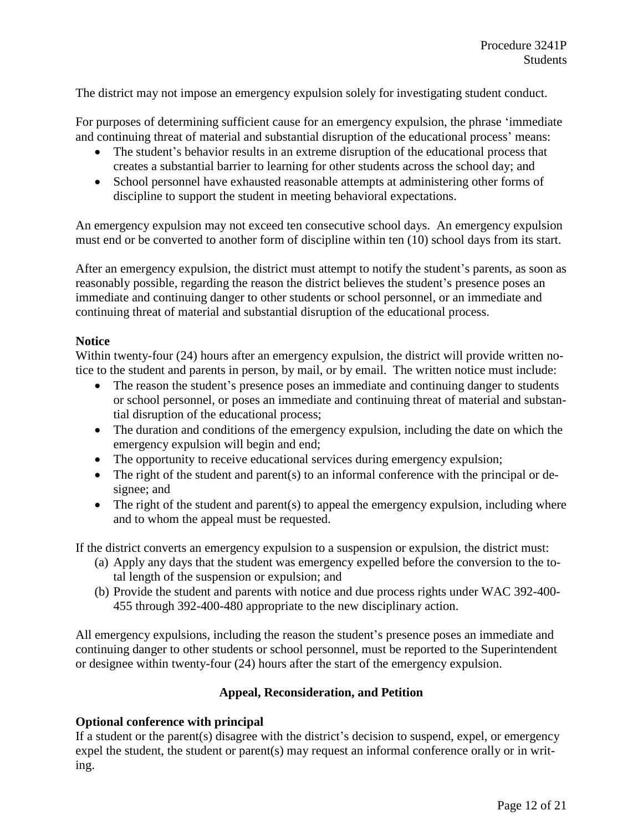The district may not impose an emergency expulsion solely for investigating student conduct.

For purposes of determining sufficient cause for an emergency expulsion, the phrase 'immediate and continuing threat of material and substantial disruption of the educational process' means:

- The student's behavior results in an extreme disruption of the educational process that creates a substantial barrier to learning for other students across the school day; and
- School personnel have exhausted reasonable attempts at administering other forms of discipline to support the student in meeting behavioral expectations.

An emergency expulsion may not exceed ten consecutive school days. An emergency expulsion must end or be converted to another form of discipline within ten (10) school days from its start.

After an emergency expulsion, the district must attempt to notify the student's parents, as soon as reasonably possible, regarding the reason the district believes the student's presence poses an immediate and continuing danger to other students or school personnel, or an immediate and continuing threat of material and substantial disruption of the educational process.

# **Notice**

Within twenty-four (24) hours after an emergency expulsion, the district will provide written notice to the student and parents in person, by mail, or by email. The written notice must include:

- The reason the student's presence poses an immediate and continuing danger to students or school personnel, or poses an immediate and continuing threat of material and substantial disruption of the educational process;
- The duration and conditions of the emergency expulsion, including the date on which the emergency expulsion will begin and end;
- The opportunity to receive educational services during emergency expulsion;
- The right of the student and parent(s) to an informal conference with the principal or designee; and
- The right of the student and parent(s) to appeal the emergency expulsion, including where and to whom the appeal must be requested.

If the district converts an emergency expulsion to a suspension or expulsion, the district must:

- (a) Apply any days that the student was emergency expelled before the conversion to the total length of the suspension or expulsion; and
- (b) Provide the student and parents with notice and due process rights under WAC 392-400- 455 through 392-400-480 appropriate to the new disciplinary action.

All emergency expulsions, including the reason the student's presence poses an immediate and continuing danger to other students or school personnel, must be reported to the Superintendent or designee within twenty-four (24) hours after the start of the emergency expulsion.

# **Appeal, Reconsideration, and Petition**

# **Optional conference with principal**

If a student or the parent(s) disagree with the district's decision to suspend, expel, or emergency expel the student, the student or parent(s) may request an informal conference orally or in writing.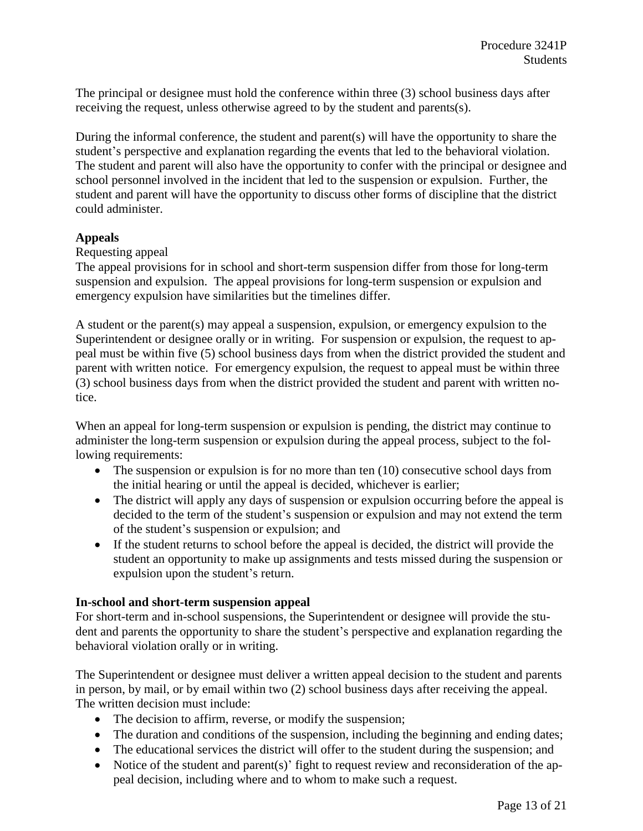The principal or designee must hold the conference within three (3) school business days after receiving the request, unless otherwise agreed to by the student and parents(s).

During the informal conference, the student and parent(s) will have the opportunity to share the student's perspective and explanation regarding the events that led to the behavioral violation. The student and parent will also have the opportunity to confer with the principal or designee and school personnel involved in the incident that led to the suspension or expulsion. Further, the student and parent will have the opportunity to discuss other forms of discipline that the district could administer.

# **Appeals**

### Requesting appeal

The appeal provisions for in school and short-term suspension differ from those for long-term suspension and expulsion. The appeal provisions for long-term suspension or expulsion and emergency expulsion have similarities but the timelines differ.

A student or the parent(s) may appeal a suspension, expulsion, or emergency expulsion to the Superintendent or designee orally or in writing. For suspension or expulsion, the request to appeal must be within five (5) school business days from when the district provided the student and parent with written notice. For emergency expulsion, the request to appeal must be within three (3) school business days from when the district provided the student and parent with written notice.

When an appeal for long-term suspension or expulsion is pending, the district may continue to administer the long-term suspension or expulsion during the appeal process, subject to the following requirements:

- The suspension or expulsion is for no more than ten (10) consecutive school days from the initial hearing or until the appeal is decided, whichever is earlier;
- The district will apply any days of suspension or expulsion occurring before the appeal is decided to the term of the student's suspension or expulsion and may not extend the term of the student's suspension or expulsion; and
- If the student returns to school before the appeal is decided, the district will provide the student an opportunity to make up assignments and tests missed during the suspension or expulsion upon the student's return.

### **In-school and short-term suspension appeal**

For short-term and in-school suspensions, the Superintendent or designee will provide the student and parents the opportunity to share the student's perspective and explanation regarding the behavioral violation orally or in writing.

The Superintendent or designee must deliver a written appeal decision to the student and parents in person, by mail, or by email within two (2) school business days after receiving the appeal. The written decision must include:

- The decision to affirm, reverse, or modify the suspension;
- The duration and conditions of the suspension, including the beginning and ending dates;
- The educational services the district will offer to the student during the suspension; and
- Notice of the student and parent(s)' fight to request review and reconsideration of the appeal decision, including where and to whom to make such a request.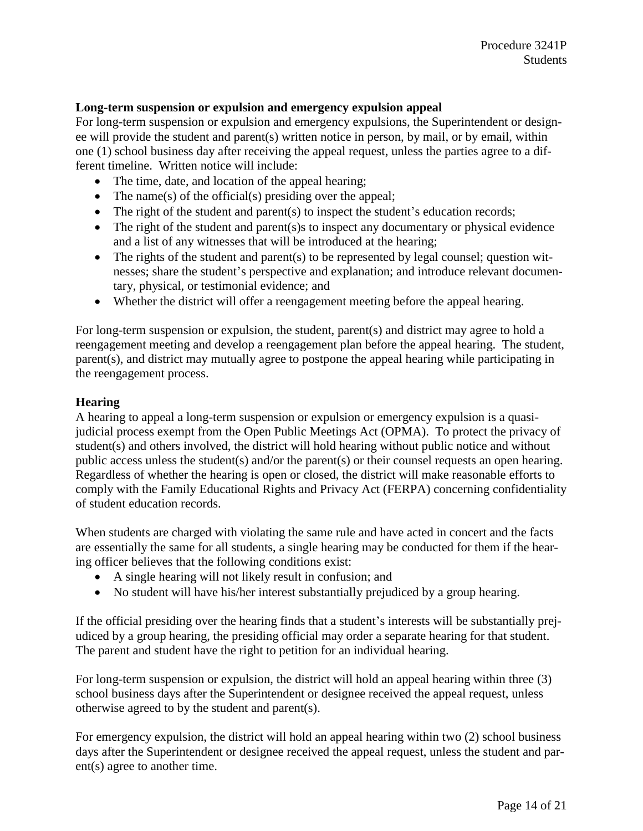### **Long-term suspension or expulsion and emergency expulsion appeal**

For long-term suspension or expulsion and emergency expulsions, the Superintendent or designee will provide the student and parent(s) written notice in person, by mail, or by email, within one (1) school business day after receiving the appeal request, unless the parties agree to a different timeline. Written notice will include:

- The time, date, and location of the appeal hearing;
- The name(s) of the official(s) presiding over the appeal;
- The right of the student and parent(s) to inspect the student's education records;
- The right of the student and parent(s)s to inspect any documentary or physical evidence and a list of any witnesses that will be introduced at the hearing;
- The rights of the student and parent(s) to be represented by legal counsel; question witnesses; share the student's perspective and explanation; and introduce relevant documentary, physical, or testimonial evidence; and
- Whether the district will offer a reengagement meeting before the appeal hearing.

For long-term suspension or expulsion, the student, parent(s) and district may agree to hold a reengagement meeting and develop a reengagement plan before the appeal hearing. The student, parent(s), and district may mutually agree to postpone the appeal hearing while participating in the reengagement process.

### **Hearing**

A hearing to appeal a long-term suspension or expulsion or emergency expulsion is a quasijudicial process exempt from the Open Public Meetings Act (OPMA). To protect the privacy of student(s) and others involved, the district will hold hearing without public notice and without public access unless the student(s) and/or the parent(s) or their counsel requests an open hearing. Regardless of whether the hearing is open or closed, the district will make reasonable efforts to comply with the Family Educational Rights and Privacy Act (FERPA) concerning confidentiality of student education records.

When students are charged with violating the same rule and have acted in concert and the facts are essentially the same for all students, a single hearing may be conducted for them if the hearing officer believes that the following conditions exist:

- A single hearing will not likely result in confusion; and
- No student will have his/her interest substantially prejudiced by a group hearing.

If the official presiding over the hearing finds that a student's interests will be substantially prejudiced by a group hearing, the presiding official may order a separate hearing for that student. The parent and student have the right to petition for an individual hearing.

For long-term suspension or expulsion, the district will hold an appeal hearing within three (3) school business days after the Superintendent or designee received the appeal request, unless otherwise agreed to by the student and parent(s).

For emergency expulsion, the district will hold an appeal hearing within two (2) school business days after the Superintendent or designee received the appeal request, unless the student and parent(s) agree to another time.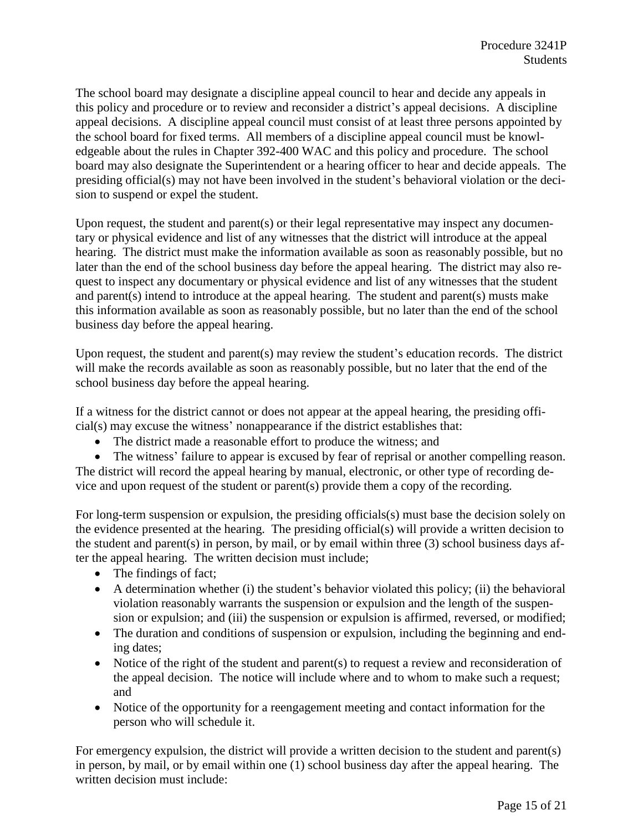The school board may designate a discipline appeal council to hear and decide any appeals in this policy and procedure or to review and reconsider a district's appeal decisions. A discipline appeal decisions. A discipline appeal council must consist of at least three persons appointed by the school board for fixed terms. All members of a discipline appeal council must be knowledgeable about the rules in Chapter 392-400 WAC and this policy and procedure. The school board may also designate the Superintendent or a hearing officer to hear and decide appeals. The presiding official(s) may not have been involved in the student's behavioral violation or the decision to suspend or expel the student.

Upon request, the student and parent(s) or their legal representative may inspect any documentary or physical evidence and list of any witnesses that the district will introduce at the appeal hearing. The district must make the information available as soon as reasonably possible, but no later than the end of the school business day before the appeal hearing. The district may also request to inspect any documentary or physical evidence and list of any witnesses that the student and parent(s) intend to introduce at the appeal hearing. The student and parent(s) musts make this information available as soon as reasonably possible, but no later than the end of the school business day before the appeal hearing.

Upon request, the student and parent(s) may review the student's education records. The district will make the records available as soon as reasonably possible, but no later that the end of the school business day before the appeal hearing.

If a witness for the district cannot or does not appear at the appeal hearing, the presiding official(s) may excuse the witness' nonappearance if the district establishes that:

• The district made a reasonable effort to produce the witness; and

• The witness' failure to appear is excused by fear of reprisal or another compelling reason. The district will record the appeal hearing by manual, electronic, or other type of recording device and upon request of the student or parent(s) provide them a copy of the recording.

For long-term suspension or expulsion, the presiding officials(s) must base the decision solely on the evidence presented at the hearing. The presiding official(s) will provide a written decision to the student and parent(s) in person, by mail, or by email within three (3) school business days after the appeal hearing. The written decision must include;

- The findings of fact;
- A determination whether (i) the student's behavior violated this policy; (ii) the behavioral violation reasonably warrants the suspension or expulsion and the length of the suspension or expulsion; and (iii) the suspension or expulsion is affirmed, reversed, or modified;
- The duration and conditions of suspension or expulsion, including the beginning and ending dates;
- Notice of the right of the student and parent(s) to request a review and reconsideration of the appeal decision. The notice will include where and to whom to make such a request; and
- Notice of the opportunity for a reengagement meeting and contact information for the person who will schedule it.

For emergency expulsion, the district will provide a written decision to the student and parent(s) in person, by mail, or by email within one (1) school business day after the appeal hearing. The written decision must include: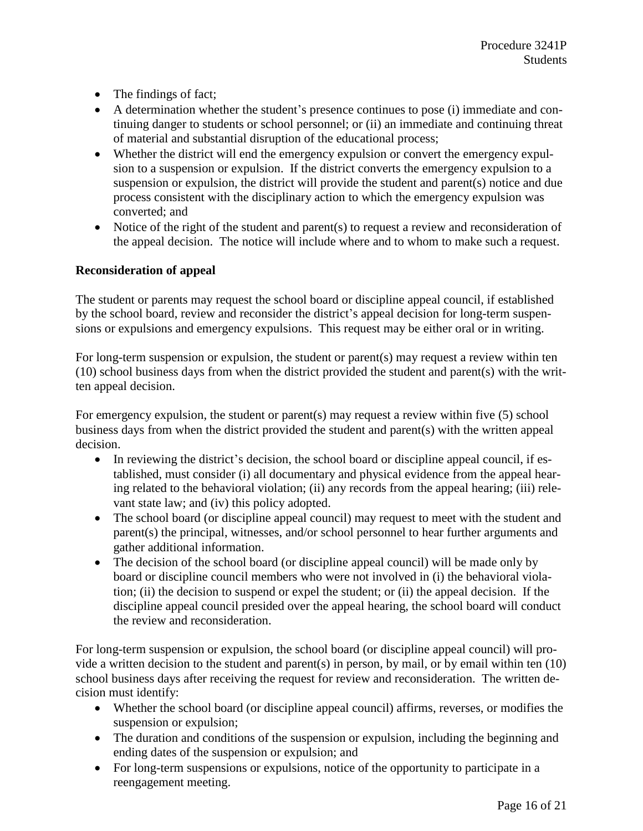- The findings of fact;
- A determination whether the student's presence continues to pose (i) immediate and continuing danger to students or school personnel; or (ii) an immediate and continuing threat of material and substantial disruption of the educational process;
- Whether the district will end the emergency expulsion or convert the emergency expulsion to a suspension or expulsion. If the district converts the emergency expulsion to a suspension or expulsion, the district will provide the student and parent(s) notice and due process consistent with the disciplinary action to which the emergency expulsion was converted; and
- Notice of the right of the student and parent(s) to request a review and reconsideration of the appeal decision. The notice will include where and to whom to make such a request.

### **Reconsideration of appeal**

The student or parents may request the school board or discipline appeal council, if established by the school board, review and reconsider the district's appeal decision for long-term suspensions or expulsions and emergency expulsions. This request may be either oral or in writing.

For long-term suspension or expulsion, the student or parent(s) may request a review within ten (10) school business days from when the district provided the student and parent(s) with the written appeal decision.

For emergency expulsion, the student or parent(s) may request a review within five (5) school business days from when the district provided the student and parent(s) with the written appeal decision.

- In reviewing the district's decision, the school board or discipline appeal council, if established, must consider (i) all documentary and physical evidence from the appeal hearing related to the behavioral violation; (ii) any records from the appeal hearing; (iii) relevant state law; and (iv) this policy adopted.
- The school board (or discipline appeal council) may request to meet with the student and parent(s) the principal, witnesses, and/or school personnel to hear further arguments and gather additional information.
- The decision of the school board (or discipline appeal council) will be made only by board or discipline council members who were not involved in (i) the behavioral violation; (ii) the decision to suspend or expel the student; or (ii) the appeal decision. If the discipline appeal council presided over the appeal hearing, the school board will conduct the review and reconsideration.

For long-term suspension or expulsion, the school board (or discipline appeal council) will provide a written decision to the student and parent(s) in person, by mail, or by email within ten (10) school business days after receiving the request for review and reconsideration. The written decision must identify:

- Whether the school board (or discipline appeal council) affirms, reverses, or modifies the suspension or expulsion;
- The duration and conditions of the suspension or expulsion, including the beginning and ending dates of the suspension or expulsion; and
- For long-term suspensions or expulsions, notice of the opportunity to participate in a reengagement meeting.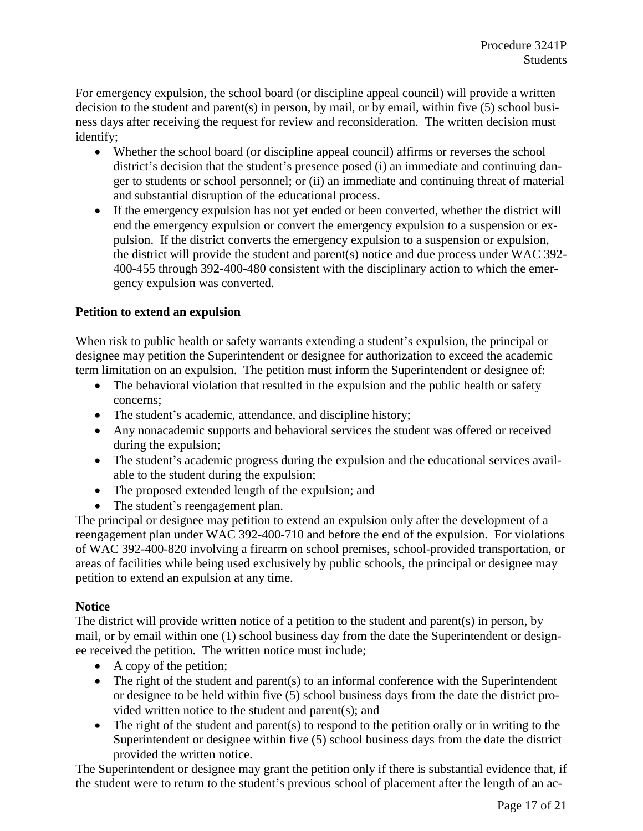For emergency expulsion, the school board (or discipline appeal council) will provide a written decision to the student and parent(s) in person, by mail, or by email, within five (5) school business days after receiving the request for review and reconsideration. The written decision must identify;

- Whether the school board (or discipline appeal council) affirms or reverses the school district's decision that the student's presence posed (i) an immediate and continuing danger to students or school personnel; or (ii) an immediate and continuing threat of material and substantial disruption of the educational process.
- If the emergency expulsion has not yet ended or been converted, whether the district will end the emergency expulsion or convert the emergency expulsion to a suspension or expulsion. If the district converts the emergency expulsion to a suspension or expulsion, the district will provide the student and parent(s) notice and due process under WAC 392- 400-455 through 392-400-480 consistent with the disciplinary action to which the emergency expulsion was converted.

# **Petition to extend an expulsion**

When risk to public health or safety warrants extending a student's expulsion, the principal or designee may petition the Superintendent or designee for authorization to exceed the academic term limitation on an expulsion. The petition must inform the Superintendent or designee of:

- The behavioral violation that resulted in the expulsion and the public health or safety concerns;
- The student's academic, attendance, and discipline history;
- Any nonacademic supports and behavioral services the student was offered or received during the expulsion;
- The student's academic progress during the expulsion and the educational services available to the student during the expulsion;
- The proposed extended length of the expulsion; and
- The student's reengagement plan.

The principal or designee may petition to extend an expulsion only after the development of a reengagement plan under WAC 392-400-710 and before the end of the expulsion. For violations of WAC 392-400-820 involving a firearm on school premises, school-provided transportation, or areas of facilities while being used exclusively by public schools, the principal or designee may petition to extend an expulsion at any time.

### **Notice**

The district will provide written notice of a petition to the student and parent(s) in person, by mail, or by email within one (1) school business day from the date the Superintendent or designee received the petition. The written notice must include;

- A copy of the petition;
- The right of the student and parent(s) to an informal conference with the Superintendent or designee to be held within five (5) school business days from the date the district provided written notice to the student and parent(s); and
- The right of the student and parent(s) to respond to the petition orally or in writing to the Superintendent or designee within five (5) school business days from the date the district provided the written notice.

The Superintendent or designee may grant the petition only if there is substantial evidence that, if the student were to return to the student's previous school of placement after the length of an ac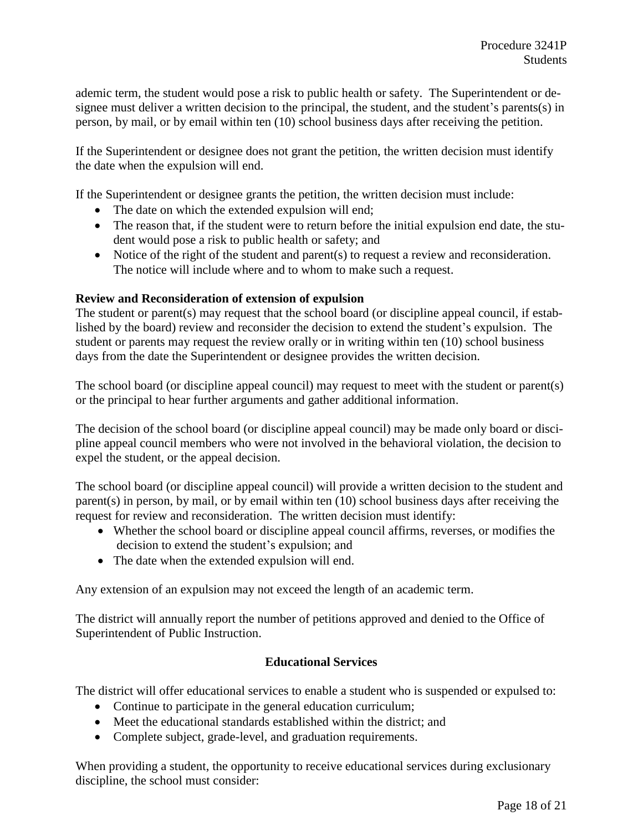ademic term, the student would pose a risk to public health or safety. The Superintendent or designee must deliver a written decision to the principal, the student, and the student's parents(s) in person, by mail, or by email within ten (10) school business days after receiving the petition.

If the Superintendent or designee does not grant the petition, the written decision must identify the date when the expulsion will end.

If the Superintendent or designee grants the petition, the written decision must include:

- The date on which the extended expulsion will end;
- The reason that, if the student were to return before the initial expulsion end date, the student would pose a risk to public health or safety; and
- Notice of the right of the student and parent(s) to request a review and reconsideration. The notice will include where and to whom to make such a request.

### **Review and Reconsideration of extension of expulsion**

The student or parent(s) may request that the school board (or discipline appeal council, if established by the board) review and reconsider the decision to extend the student's expulsion. The student or parents may request the review orally or in writing within ten (10) school business days from the date the Superintendent or designee provides the written decision.

The school board (or discipline appeal council) may request to meet with the student or parent(s) or the principal to hear further arguments and gather additional information.

The decision of the school board (or discipline appeal council) may be made only board or discipline appeal council members who were not involved in the behavioral violation, the decision to expel the student, or the appeal decision.

The school board (or discipline appeal council) will provide a written decision to the student and parent(s) in person, by mail, or by email within ten  $(10)$  school business days after receiving the request for review and reconsideration. The written decision must identify:

- Whether the school board or discipline appeal council affirms, reverses, or modifies the decision to extend the student's expulsion; and
- The date when the extended expulsion will end.

Any extension of an expulsion may not exceed the length of an academic term.

The district will annually report the number of petitions approved and denied to the Office of Superintendent of Public Instruction.

### **Educational Services**

The district will offer educational services to enable a student who is suspended or expulsed to:

- Continue to participate in the general education curriculum;
- Meet the educational standards established within the district; and
- Complete subject, grade-level, and graduation requirements.

When providing a student, the opportunity to receive educational services during exclusionary discipline, the school must consider: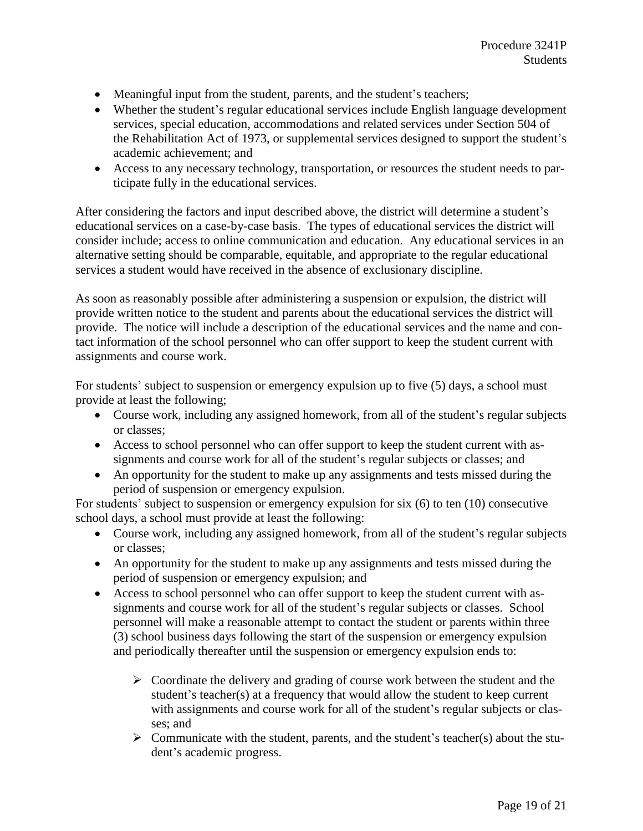- Meaningful input from the student, parents, and the student's teachers;
- Whether the student's regular educational services include English language development services, special education, accommodations and related services under Section 504 of the Rehabilitation Act of 1973, or supplemental services designed to support the student's academic achievement; and
- Access to any necessary technology, transportation, or resources the student needs to participate fully in the educational services.

After considering the factors and input described above, the district will determine a student's educational services on a case-by-case basis. The types of educational services the district will consider include; access to online communication and education. Any educational services in an alternative setting should be comparable, equitable, and appropriate to the regular educational services a student would have received in the absence of exclusionary discipline.

As soon as reasonably possible after administering a suspension or expulsion, the district will provide written notice to the student and parents about the educational services the district will provide. The notice will include a description of the educational services and the name and contact information of the school personnel who can offer support to keep the student current with assignments and course work.

For students' subject to suspension or emergency expulsion up to five (5) days, a school must provide at least the following;

- Course work, including any assigned homework, from all of the student's regular subjects or classes;
- Access to school personnel who can offer support to keep the student current with assignments and course work for all of the student's regular subjects or classes; and
- An opportunity for the student to make up any assignments and tests missed during the period of suspension or emergency expulsion.

For students' subject to suspension or emergency expulsion for six (6) to ten (10) consecutive school days, a school must provide at least the following:

- Course work, including any assigned homework, from all of the student's regular subjects or classes;
- An opportunity for the student to make up any assignments and tests missed during the period of suspension or emergency expulsion; and
- Access to school personnel who can offer support to keep the student current with assignments and course work for all of the student's regular subjects or classes. School personnel will make a reasonable attempt to contact the student or parents within three (3) school business days following the start of the suspension or emergency expulsion and periodically thereafter until the suspension or emergency expulsion ends to:
	- $\triangleright$  Coordinate the delivery and grading of course work between the student and the student's teacher(s) at a frequency that would allow the student to keep current with assignments and course work for all of the student's regular subjects or classes; and
	- $\triangleright$  Communicate with the student, parents, and the student's teacher(s) about the student's academic progress.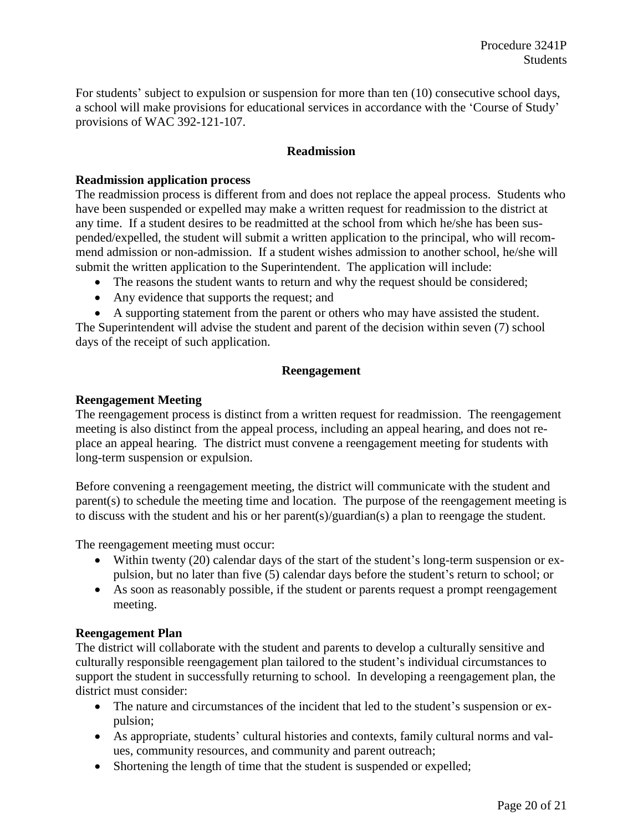For students' subject to expulsion or suspension for more than ten (10) consecutive school days, a school will make provisions for educational services in accordance with the 'Course of Study' provisions of WAC 392-121-107.

### **Readmission**

### **Readmission application process**

The readmission process is different from and does not replace the appeal process. Students who have been suspended or expelled may make a written request for readmission to the district at any time. If a student desires to be readmitted at the school from which he/she has been suspended/expelled, the student will submit a written application to the principal, who will recommend admission or non-admission. If a student wishes admission to another school, he/she will submit the written application to the Superintendent. The application will include:

- The reasons the student wants to return and why the request should be considered;
- Any evidence that supports the request; and
- A supporting statement from the parent or others who may have assisted the student.

The Superintendent will advise the student and parent of the decision within seven (7) school days of the receipt of such application.

### **Reengagement**

### **Reengagement Meeting**

The reengagement process is distinct from a written request for readmission. The reengagement meeting is also distinct from the appeal process, including an appeal hearing, and does not replace an appeal hearing. The district must convene a reengagement meeting for students with long-term suspension or expulsion.

Before convening a reengagement meeting, the district will communicate with the student and parent(s) to schedule the meeting time and location. The purpose of the reengagement meeting is to discuss with the student and his or her parent(s)/guardian(s) a plan to reengage the student.

The reengagement meeting must occur:

- Within twenty (20) calendar days of the start of the student's long-term suspension or expulsion, but no later than five (5) calendar days before the student's return to school; or
- As soon as reasonably possible, if the student or parents request a prompt reengagement meeting.

### **Reengagement Plan**

The district will collaborate with the student and parents to develop a culturally sensitive and culturally responsible reengagement plan tailored to the student's individual circumstances to support the student in successfully returning to school. In developing a reengagement plan, the district must consider:

- The nature and circumstances of the incident that led to the student's suspension or expulsion;
- As appropriate, students' cultural histories and contexts, family cultural norms and values, community resources, and community and parent outreach;
- Shortening the length of time that the student is suspended or expelled;